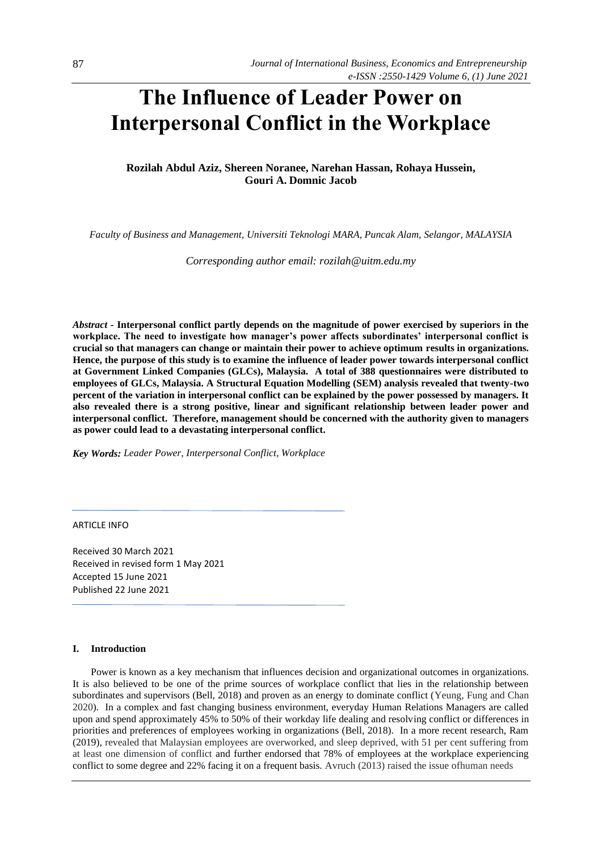# **The Influence of Leader Power on Interpersonal Conflict in the Workplace**

# **Rozilah Abdul Aziz, Shereen Noranee, Narehan Hassan, Rohaya Hussein, Gouri A. Domnic Jacob**

*Faculty of Business and Management, Universiti Teknologi MARA, Puncak Alam, Selangor, MALAYSIA* 

*Corresponding author email: rozilah@uitm.edu.my* 

*Abstract -* **Interpersonal conflict partly depends on the magnitude of power exercised by superiors in the workplace. The need to investigate how manager's power affects subordinates' interpersonal conflict is crucial so that managers can change or maintain their power to achieve optimum results in organizations. Hence, the purpose of this study is to examine the influence of leader power towards interpersonal conflict at Government Linked Companies (GLCs), Malaysia. A total of 388 questionnaires were distributed to employees of GLCs, Malaysia. A Structural Equation Modelling (SEM) analysis revealed that twenty-two percent of the variation in interpersonal conflict can be explained by the power possessed by managers. It also revealed there is a strong positive, linear and significant relationship between leader power and interpersonal conflict. Therefore, management should be concerned with the authority given to managers as power could lead to a devastating interpersonal conflict.** 

*Key Words: Leader Power, Interpersonal Conflict, Workplace* 

ARTICLE INFO

Received 30 March 2021 Received in revised form 1 May 2021 Accepted 15 June 2021 Published 22 June 2021

# **I. Introduction**

Power is known as a key mechanism that influences decision and organizational outcomes in organizations. It is also believed to be one of the prime sources of workplace conflict that lies in the relationship between subordinates and supervisors (Bell, 2018) and proven as an energy to dominate conflict (Yeung, Fung and Chan 2020). In a complex and fast changing business environment, everyday Human Relations Managers are called upon and spend approximately 45% to 50% of their workday life dealing and resolving conflict or differences in priorities and preferences of employees working in organizations (Bell, 2018). In a more recent research, Ram (2019), revealed that Malaysian employees are overworked, and sleep deprived, with 51 per cent suffering from at least one dimension of conflict and further endorsed that 78% of employees at the workplace experiencing conflict to some degree and 22% facing it on a frequent basis. Avruch (2013) raised the issue ofhuman needs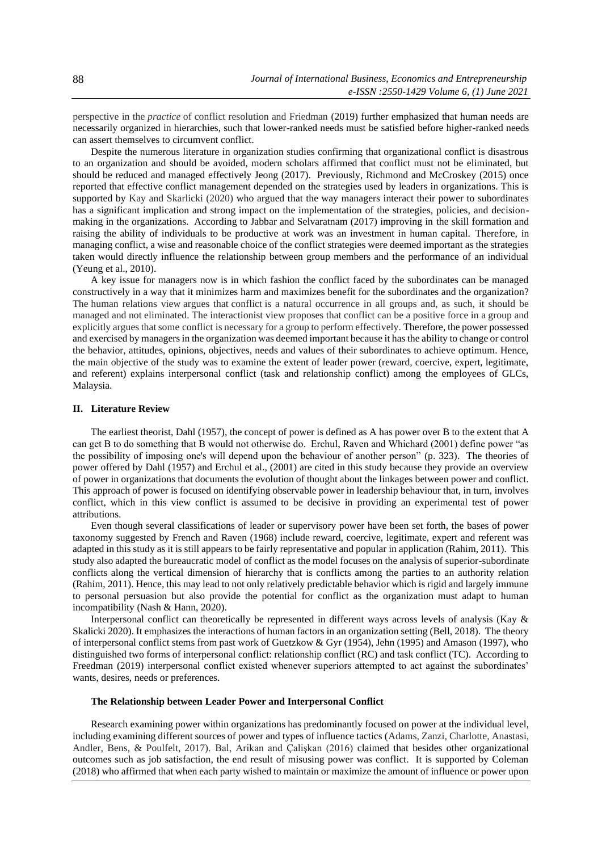perspective in the *practice* of conflict resolution and Friedman (2019) further emphasized that human needs are necessarily organized in hierarchies, such that lower-ranked needs must be satisfied before higher-ranked needs can assert themselves to circumvent conflict.

Despite the numerous literature in organization studies confirming that organizational conflict is disastrous to an organization and should be avoided, modern scholars affirmed that conflict must not be eliminated, but should be reduced and managed effectively Jeong (2017). Previously, Richmond and McCroskey (2015) once reported that effective conflict management depended on the strategies used by leaders in organizations. This is supported by Kay and Skarlicki (2020) who argued that the way managers interact their power to subordinates has a significant implication and strong impact on the implementation of the strategies, policies, and decisionmaking in the organizations. According to Jabbar and Selvaratnam (2017) improving in the skill formation and raising the ability of individuals to be productive at work was an investment in human capital. Therefore, in managing conflict, a wise and reasonable choice of the conflict strategies were deemed important as the strategies taken would directly influence the relationship between group members and the performance of an individual (Yeung et al., 2010).

A key issue for managers now is in which fashion the conflict faced by the subordinates can be managed constructively in a way that it minimizes harm and maximizes benefit for the subordinates and the organization? The human relations view argues that conflict is a natural occurrence in all groups and, as such, it should be managed and not eliminated. The interactionist view proposes that conflict can be a positive force in a group and explicitly argues that some conflict is necessary for a group to perform effectively. Therefore, the power possessed and exercised by managers in the organization was deemed important because it has the ability to change or control the behavior, attitudes, opinions, objectives, needs and values of their subordinates to achieve optimum. Hence, the main objective of the study was to examine the extent of leader power (reward, coercive, expert, legitimate, and referent) explains interpersonal conflict (task and relationship conflict) among the employees of GLCs, Malaysia.

# **II. Literature Review**

The earliest theorist, Dahl (1957), the concept of power is defined as A has power over B to the extent that A can get B to do something that B would not otherwise do. Erchul, Raven and Whichard (2001) define power "as the possibility of imposing one's will depend upon the behaviour of another person" (p. 323). The theories of power offered by Dahl (1957) and Erchul et al., (2001) are cited in this study because they provide an overview of power in organizations that documents the evolution of thought about the linkages between power and conflict. This approach of power is focused on identifying observable power in leadership behaviour that, in turn, involves conflict, which in this view conflict is assumed to be decisive in providing an experimental test of power attributions.

Even though several classifications of leader or supervisory power have been set forth, the bases of power taxonomy suggested by French and Raven (1968) include reward, coercive, legitimate, expert and referent was adapted in this study as it is still appears to be fairly representative and popular in application (Rahim, 2011). This study also adapted the bureaucratic model of conflict as the model focuses on the analysis of superior-subordinate conflicts along the vertical dimension of hierarchy that is conflicts among the parties to an authority relation (Rahim, 2011). Hence, this may lead to not only relatively predictable behavior which is rigid and largely immune to personal persuasion but also provide the potential for conflict as the organization must adapt to human incompatibility (Nash & Hann, 2020).

Interpersonal conflict can theoretically be represented in different ways across levels of analysis (Kay & Skalicki 2020). It emphasizes the interactions of human factors in an organization setting (Bell, 2018). The theory of interpersonal conflict stems from past work of Guetzkow & Gyr (1954), Jehn (1995) and Amason (1997), who distinguished two forms of interpersonal conflict: relationship conflict (RC) and task conflict (TC). According to Freedman (2019) interpersonal conflict existed whenever superiors attempted to act against the subordinates' wants, desires, needs or preferences.

#### **The Relationship between Leader Power and Interpersonal Conflict**

Research examining power within organizations has predominantly focused on power at the individual level, including examining different sources of power and types of influence tactics (Adams, Zanzi, Charlotte, Anastasi, Andler, Bens, & Poulfelt, 2017). Bal, Arikan and Çalişkan (2016) claimed that besides other organizational outcomes such as job satisfaction, the end result of misusing power was conflict. It is supported by Coleman (2018) who affirmed that when each party wished to maintain or maximize the amount of influence or power upon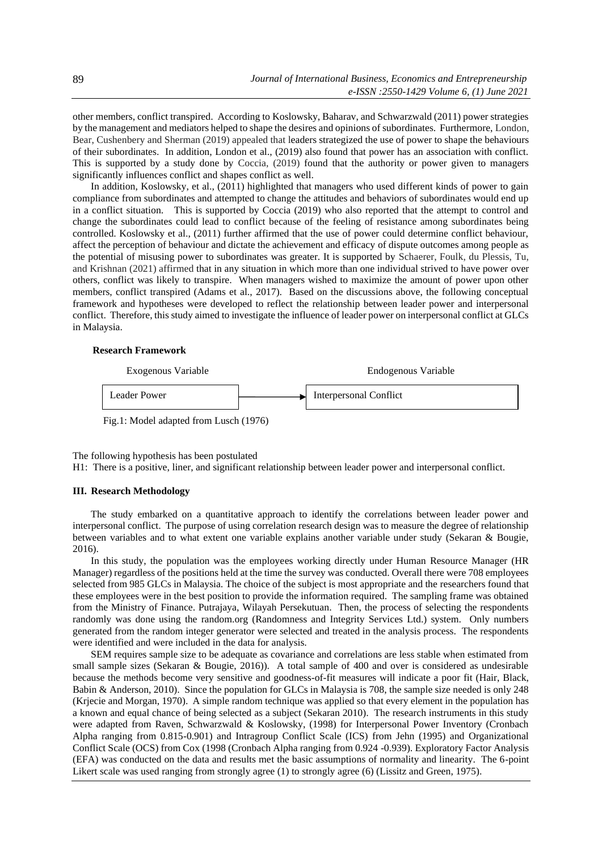other members, conflict transpired. According to Koslowsky, Baharav, and Schwarzwald (2011) power strategies by the management and mediators helped to shape the desires and opinions of subordinates. Furthermore, London, Bear, Cushenbery and Sherman (2019) appealed that leaders strategized the use of power to shape the behaviours of their subordinates. In addition, London et al., (2019) also found that power has an association with conflict. This is supported by a study done by Coccia, (2019) found that the authority or power given to managers significantly influences conflict and shapes conflict as well.

In addition, Koslowsky, et al., (2011) highlighted that managers who used different kinds of power to gain compliance from subordinates and attempted to change the attitudes and behaviors of subordinates would end up in a conflict situation. This is supported by Coccia (2019) who also reported that the attempt to control and change the subordinates could lead to conflict because of the feeling of resistance among subordinates being controlled. Koslowsky et al., (2011) further affirmed that the use of power could determine conflict behaviour, affect the perception of behaviour and dictate the achievement and efficacy of dispute outcomes among people as the potential of misusing power to subordinates was greater. It is supported by Schaerer, Foulk, du Plessis, Tu, and Krishnan (2021) affirmed that in any situation in which more than one individual strived to have power over others, conflict was likely to transpire. When managers wished to maximize the amount of power upon other members, conflict transpired (Adams et al., 2017). Based on the discussions above, the following conceptual framework and hypotheses were developed to reflect the relationship between leader power and interpersonal conflict. Therefore, this study aimed to investigate the influence of leader power on interpersonal conflict at GLCs in Malaysia.

# **Research Framework**



The following hypothesis has been postulated

H1: There is a positive, liner, and significant relationship between leader power and interpersonal conflict.

#### **III. Research Methodology**

The study embarked on a quantitative approach to identify the correlations between leader power and interpersonal conflict. The purpose of using correlation research design was to measure the degree of relationship between variables and to what extent one variable explains another variable under study (Sekaran & Bougie, 2016).

In this study, the population was the employees working directly under Human Resource Manager (HR Manager) regardless of the positions held at the time the survey was conducted. Overall there were 708 employees selected from 985 GLCs in Malaysia. The choice of the subject is most appropriate and the researchers found that these employees were in the best position to provide the information required. The sampling frame was obtained from the Ministry of Finance. Putrajaya, Wilayah Persekutuan. Then, the process of selecting the respondents randomly was done using the random.org (Randomness and Integrity Services Ltd.) system. Only numbers generated from the random integer generator were selected and treated in the analysis process. The respondents were identified and were included in the data for analysis.

SEM requires sample size to be adequate as covariance and correlations are less stable when estimated from small sample sizes (Sekaran & Bougie, 2016)). A total sample of 400 and over is considered as undesirable because the methods become very sensitive and goodness-of-fit measures will indicate a poor fit (Hair, Black, Babin & Anderson, 2010). Since the population for GLCs in Malaysia is 708, the sample size needed is only 248 (Krjecie and Morgan, 1970). A simple random technique was applied so that every element in the population has a known and equal chance of being selected as a subject (Sekaran 2010). The research instruments in this study were adapted from Raven, Schwarzwald & Koslowsky, (1998) for Interpersonal Power Inventory (Cronbach Alpha ranging from 0.815-0.901) and Intragroup Conflict Scale (ICS) from Jehn (1995) and Organizational Conflict Scale (OCS) from Cox (1998 (Cronbach Alpha ranging from 0.924 -0.939). Exploratory Factor Analysis (EFA) was conducted on the data and results met the basic assumptions of normality and linearity. The 6-point Likert scale was used ranging from strongly agree (1) to strongly agree (6) (Lissitz and Green, 1975).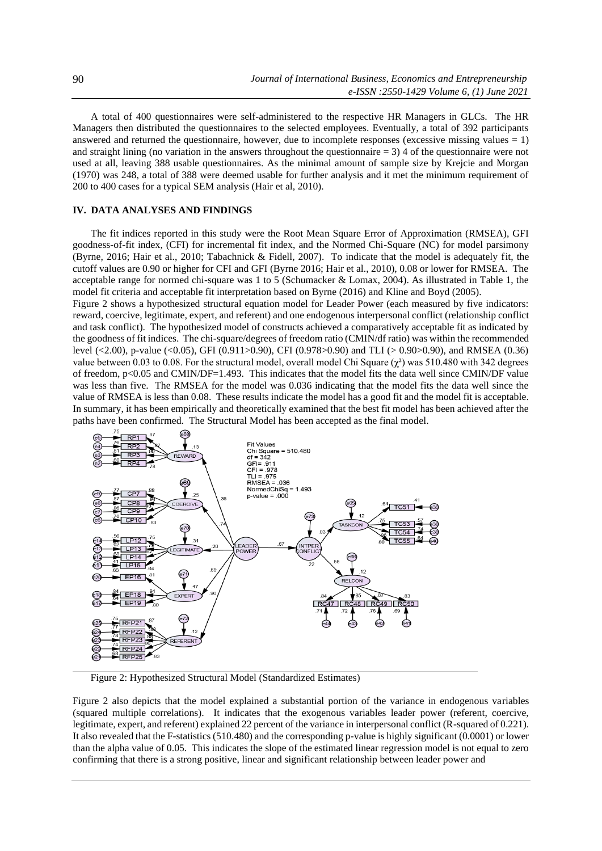A total of 400 questionnaires were self-administered to the respective HR Managers in GLCs. The HR Managers then distributed the questionnaires to the selected employees. Eventually, a total of 392 participants answered and returned the questionnaire, however, due to incomplete responses (excessive missing values  $= 1$ ) and straight lining (no variation in the answers throughout the questionnaire  $= 3$ ) 4 of the questionnaire were not used at all, leaving 388 usable questionnaires. As the minimal amount of sample size by Krejcie and Morgan (1970) was 248, a total of 388 were deemed usable for further analysis and it met the minimum requirement of 200 to 400 cases for a typical SEM analysis (Hair et al, 2010).

# **IV. DATA ANALYSES AND FINDINGS**

The fit indices reported in this study were the Root Mean Square Error of Approximation (RMSEA), GFI goodness-of-fit index, (CFI) for incremental fit index, and the Normed Chi-Square (NC) for model parsimony (Byrne, 2016; Hair et al., 2010; Tabachnick & Fidell, 2007). To indicate that the model is adequately fit, the cutoff values are 0.90 or higher for CFI and GFI (Byrne 2016; Hair et al., 2010), 0.08 or lower for RMSEA. The acceptable range for normed chi-square was 1 to 5 (Schumacker & Lomax, 2004). As illustrated in Table 1, the model fit criteria and acceptable fit interpretation based on Byrne (2016) and Kline and Boyd (2005).

Figure 2 shows a hypothesized structural equation model for Leader Power (each measured by five indicators: reward, coercive, legitimate, expert, and referent) and one endogenous interpersonal conflict (relationship conflict and task conflict). The hypothesized model of constructs achieved a comparatively acceptable fit as indicated by the goodness of fit indices. The chi-square/degrees of freedom ratio (CMIN/df ratio) was within the recommended level (<2.00), p-value (<0.05), GFI (0.911>0.90), CFI (0.978>0.90) and TLI (> 0.90>0.90), and RMSEA (0.36) value between 0.03 to 0.08. For the structural model, overall model Chi Square  $(\chi^2)$  was 510.480 with 342 degrees of freedom, p<0.05 and CMIN/DF=1.493. This indicates that the model fits the data well since CMIN/DF value was less than five. The RMSEA for the model was 0.036 indicating that the model fits the data well since the value of RMSEA is less than 0.08. These results indicate the model has a good fit and the model fit is acceptable. In summary, it has been empirically and theoretically examined that the best fit model has been achieved after the paths have been confirmed. The Structural Model has been accepted as the final model.



Figure 2: Hypothesized Structural Model (Standardized Estimates)

Figure 2 also depicts that the model explained a substantial portion of the variance in endogenous variables (squared multiple correlations). It indicates that the exogenous variables leader power (referent, coercive, legitimate, expert, and referent) explained 22 percent of the variance in interpersonal conflict (R-squared of 0.221). It also revealed that the F-statistics (510.480) and the corresponding p-value is highly significant (0.0001) or lower than the alpha value of 0.05. This indicates the slope of the estimated linear regression model is not equal to zero confirming that there is a strong positive, linear and significant relationship between leader power and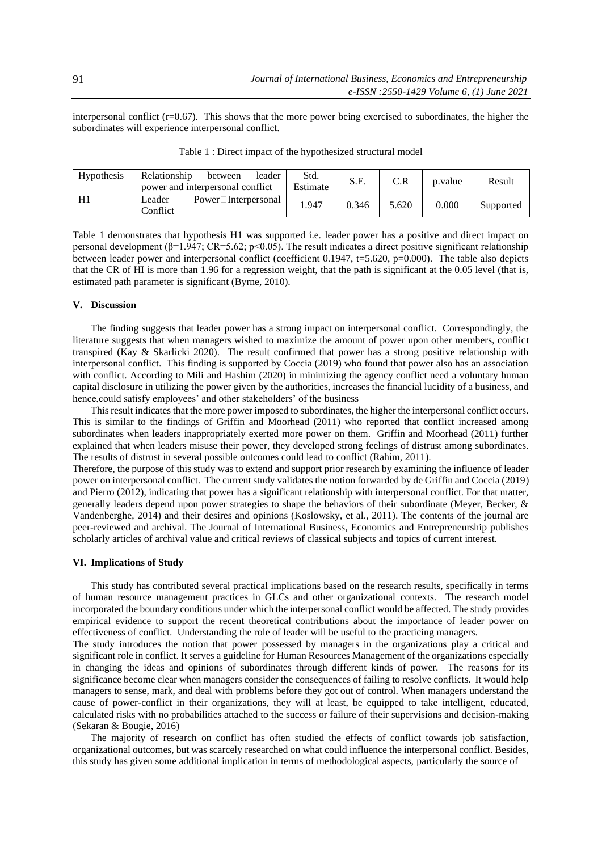interpersonal conflict (r=0.67). This shows that the more power being exercised to subordinates, the higher the subordinates will experience interpersonal conflict.

| <b>Hypothesis</b> | Relationship<br>power and interpersonal conflict | between                   | leader | Std.<br>Estimate | S.E.  | C.R   | p.value | Result    |
|-------------------|--------------------------------------------------|---------------------------|--------|------------------|-------|-------|---------|-----------|
|                   | Leader<br>Conflict                               | $Power\Box$ Interpersonal |        | 1.947            | 0.346 | 5.620 | 0.000   | Supported |

Table 1 : Direct impact of the hypothesized structural model

Table 1 demonstrates that hypothesis H1 was supported i.e. leader power has a positive and direct impact on personal development (β=1.947; CR=5.62; p<0.05). The result indicates a direct positive significant relationship between leader power and interpersonal conflict (coefficient 0.1947, t=5.620, p=0.000). The table also depicts that the CR of HI is more than 1.96 for a regression weight, that the path is significant at the 0.05 level (that is, estimated path parameter is significant (Byrne, 2010).

# **V. Discussion**

The finding suggests that leader power has a strong impact on interpersonal conflict. Correspondingly, the literature suggests that when managers wished to maximize the amount of power upon other members, conflict transpired (Kay & Skarlicki 2020). The result confirmed that power has a strong positive relationship with interpersonal conflict. This finding is supported by Coccia (2019) who found that power also has an association with conflict. According to Mili and Hashim (2020) in minimizing the agency conflict need a voluntary human capital disclosure in utilizing the power given by the authorities, increases the financial lucidity of a business, and hence,could satisfy employees' and other stakeholders' of the business

This result indicates that the more power imposed to subordinates, the higher the interpersonal conflict occurs. This is similar to the findings of Griffin and Moorhead (2011) who reported that conflict increased among subordinates when leaders inappropriately exerted more power on them. Griffin and Moorhead (2011) further explained that when leaders misuse their power, they developed strong feelings of distrust among subordinates. The results of distrust in several possible outcomes could lead to conflict (Rahim, 2011).

Therefore, the purpose of this study was to extend and support prior research by examining the influence of leader power on interpersonal conflict. The current study validates the notion forwarded by de Griffin and Coccia (2019) and Pierro (2012), indicating that power has a significant relationship with interpersonal conflict. For that matter, generally leaders depend upon power strategies to shape the behaviors of their subordinate (Meyer, Becker, & Vandenberghe, 2014) and their desires and opinions (Koslowsky, et al., 2011). The contents of the journal are peer-reviewed and archival. The Journal of International Business, Economics and Entrepreneurship publishes scholarly articles of archival value and critical reviews of classical subjects and topics of current interest.

# **VI. Implications of Study**

This study has contributed several practical implications based on the research results, specifically in terms of human resource management practices in GLCs and other organizational contexts. The research model incorporated the boundary conditions under which the interpersonal conflict would be affected. The study provides empirical evidence to support the recent theoretical contributions about the importance of leader power on effectiveness of conflict. Understanding the role of leader will be useful to the practicing managers.

The study introduces the notion that power possessed by managers in the organizations play a critical and significant role in conflict. It serves a guideline for Human Resources Management of the organizations especially in changing the ideas and opinions of subordinates through different kinds of power. The reasons for its significance become clear when managers consider the consequences of failing to resolve conflicts. It would help managers to sense, mark, and deal with problems before they got out of control. When managers understand the cause of power-conflict in their organizations, they will at least, be equipped to take intelligent, educated, calculated risks with no probabilities attached to the success or failure of their supervisions and decision-making (Sekaran & Bougie, 2016)

The majority of research on conflict has often studied the effects of conflict towards job satisfaction, organizational outcomes, but was scarcely researched on what could influence the interpersonal conflict. Besides, this study has given some additional implication in terms of methodological aspects, particularly the source of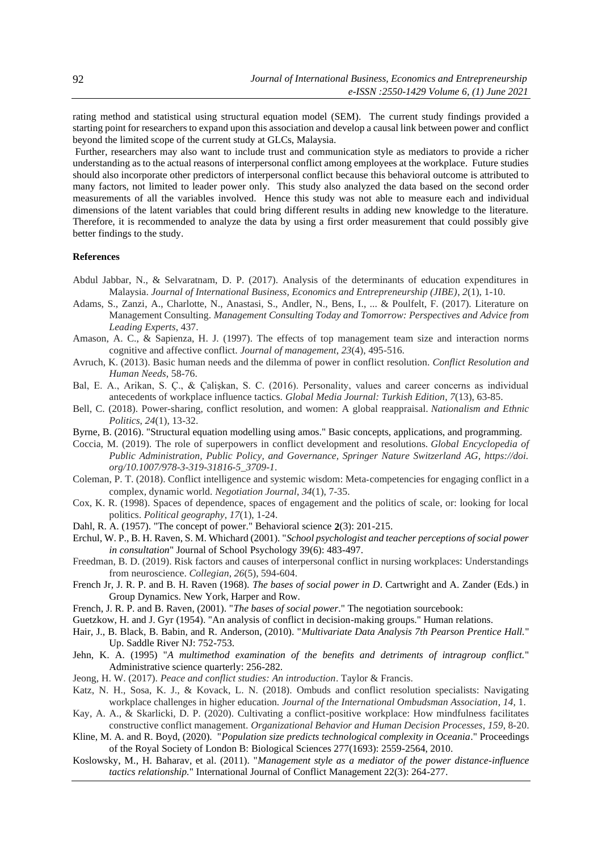rating method and statistical using structural equation model (SEM). The current study findings provided a starting point for researchers to expand upon this association and develop a causal link between power and conflict beyond the limited scope of the current study at GLCs, Malaysia.

Further, researchers may also want to include trust and communication style as mediators to provide a richer understanding as to the actual reasons of interpersonal conflict among employees at the workplace. Future studies should also incorporate other predictors of interpersonal conflict because this behavioral outcome is attributed to many factors, not limited to leader power only. This study also analyzed the data based on the second order measurements of all the variables involved. Hence this study was not able to measure each and individual dimensions of the latent variables that could bring different results in adding new knowledge to the literature. Therefore, it is recommended to analyze the data by using a first order measurement that could possibly give better findings to the study.

#### **References**

- Abdul Jabbar, N., & Selvaratnam, D. P. (2017). Analysis of the determinants of education expenditures in Malaysia. *Journal of International Business, Economics and Entrepreneurship (JIBE)*, *2*(1), 1-10.
- Adams, S., Zanzi, A., Charlotte, N., Anastasi, S., Andler, N., Bens, I., ... & Poulfelt, F. (2017). Literature on Management Consulting. *Management Consulting Today and Tomorrow: Perspectives and Advice from Leading Experts*, 437.
- Amason, A. C., & Sapienza, H. J. (1997). The effects of top management team size and interaction norms cognitive and affective conflict. *Journal of management*, *23*(4), 495-516.
- Avruch, K. (2013). Basic human needs and the dilemma of power in conflict resolution. *Conflict Resolution and Human Needs*, 58-76.
- Bal, E. A., Arikan, S. Ç., & Çalişkan, S. C. (2016). Personality, values and career concerns as individual antecedents of workplace influence tactics. *Global Media Journal: Turkish Edition*, *7*(13), 63-85.
- Bell, C. (2018). Power-sharing, conflict resolution, and women: A global reappraisal. *Nationalism and Ethnic Politics*, *24*(1), 13-32.
- Byrne, B. (2016). "Structural equation modelling using amos." Basic concepts, applications, and programming.
- Coccia, M. (2019). The role of superpowers in conflict development and resolutions. *Global Encyclopedia of Public Administration, Public Policy, and Governance, Springer Nature Switzerland AG, https://doi. org/10.1007/978-3-319-31816-5\_3709-1*.
- Coleman, P. T. (2018). Conflict intelligence and systemic wisdom: Meta‐competencies for engaging conflict in a complex, dynamic world. *Negotiation Journal*, *34*(1), 7-35.
- Cox, K. R. (1998). Spaces of dependence, spaces of engagement and the politics of scale, or: looking for local politics. *Political geography*, *17*(1), 1-24.
- Dahl, R. A. (1957). "The concept of power." Behavioral science **2**(3): 201-215.
- Erchul, W. P., B. H. Raven, S. M. Whichard (2001). "*School psychologist and teacher perceptions of social power in consultation*" Journal of School Psychology 39(6): 483-497.
- Freedman, B. D. (2019). Risk factors and causes of interpersonal conflict in nursing workplaces: Understandings from neuroscience. *Collegian*, *26*(5), 594-604.
- French Jr, J. R. P. and B. H. Raven (1968). *The bases of social power in D*. Cartwright and A. Zander (Eds.) in Group Dynamics. New York, Harper and Row.
- French, J. R. P. and B. Raven, (2001). "*The bases of social power*." The negotiation sourcebook:
- Guetzkow, H. and J. Gyr (1954). "An analysis of conflict in decision-making groups." Human relations.
- Hair, J., B. Black, B. Babin, and R. Anderson, (2010). "*Multivariate Data Analysis 7th Pearson Prentice Hall.*" Up. Saddle River NJ: 752-753.
- Jehn, K. A. (1995) "*A multimethod examination of the benefits and detriments of intragroup conflict.*" Administrative science quarterly: 256-282.
- Jeong, H. W. (2017). *Peace and conflict studies: An introduction*. Taylor & Francis.
- Katz, N. H., Sosa, K. J., & Kovack, L. N. (2018). Ombuds and conflict resolution specialists: Navigating workplace challenges in higher education. *Journal of the International Ombudsman Association*, *14*, 1.
- Kay, A. A., & Skarlicki, D. P. (2020). Cultivating a conflict-positive workplace: How mindfulness facilitates constructive conflict management. *Organizational Behavior and Human Decision Processes*, *159*, 8-20.
- Kline, M. A. and R. Boyd, (2020). "*Population size predicts technological complexity in Oceania*." Proceedings of the Royal Society of London B: Biological Sciences 277(1693): 2559-2564, 2010.
- Koslowsky, M., H. Baharav, et al. (2011). "*Management style as a mediator of the power distance-influence tactics relationship.*" International Journal of Conflict Management 22(3): 264-277.